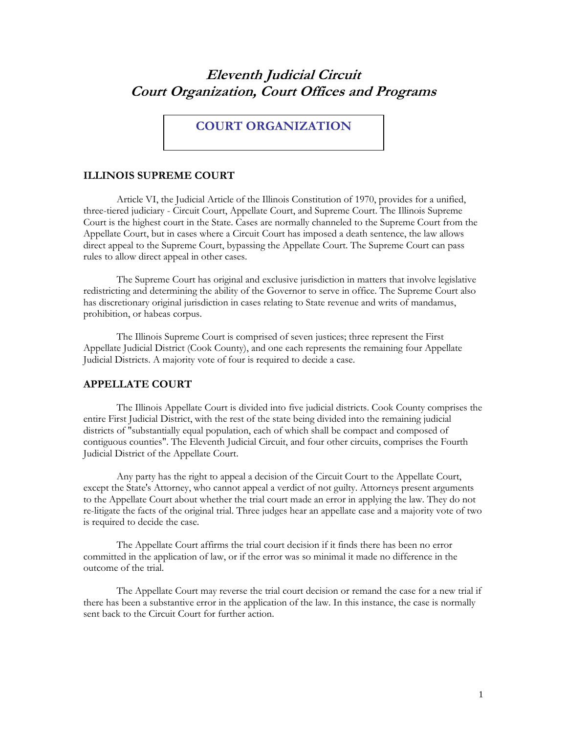# **Eleventh Judicial Circuit Court Organization, Court Offices and Programs**

**COURT ORGANIZATION**

## **ILLINOIS SUPREME COURT**

Article VI, the Judicial Article of the Illinois Constitution of 1970, provides for a unified, three-tiered judiciary - Circuit Court, Appellate Court, and Supreme Court. The Illinois Supreme Court is the highest court in the State. Cases are normally channeled to the Supreme Court from the Appellate Court, but in cases where a Circuit Court has imposed a death sentence, the law allows direct appeal to the Supreme Court, bypassing the Appellate Court. The Supreme Court can pass rules to allow direct appeal in other cases.

The Supreme Court has original and exclusive jurisdiction in matters that involve legislative redistricting and determining the ability of the Governor to serve in office. The Supreme Court also has discretionary original jurisdiction in cases relating to State revenue and writs of mandamus, prohibition, or habeas corpus.

The Illinois Supreme Court is comprised of seven justices; three represent the First Appellate Judicial District (Cook County), and one each represents the remaining four Appellate Judicial Districts. A majority vote of four is required to decide a case.

# **APPELLATE COURT**

The Illinois Appellate Court is divided into five judicial districts. Cook County comprises the entire First Judicial District, with the rest of the state being divided into the remaining judicial districts of "substantially equal population, each of which shall be compact and composed of contiguous counties". The Eleventh Judicial Circuit, and four other circuits, comprises the Fourth Judicial District of the Appellate Court.

Any party has the right to appeal a decision of the Circuit Court to the Appellate Court, except the State's Attorney, who cannot appeal a verdict of not guilty. Attorneys present arguments to the Appellate Court about whether the trial court made an error in applying the law. They do not re-litigate the facts of the original trial. Three judges hear an appellate case and a majority vote of two is required to decide the case.

The Appellate Court affirms the trial court decision if it finds there has been no error committed in the application of law, or if the error was so minimal it made no difference in the outcome of the trial.

The Appellate Court may reverse the trial court decision or remand the case for a new trial if there has been a substantive error in the application of the law. In this instance, the case is normally sent back to the Circuit Court for further action.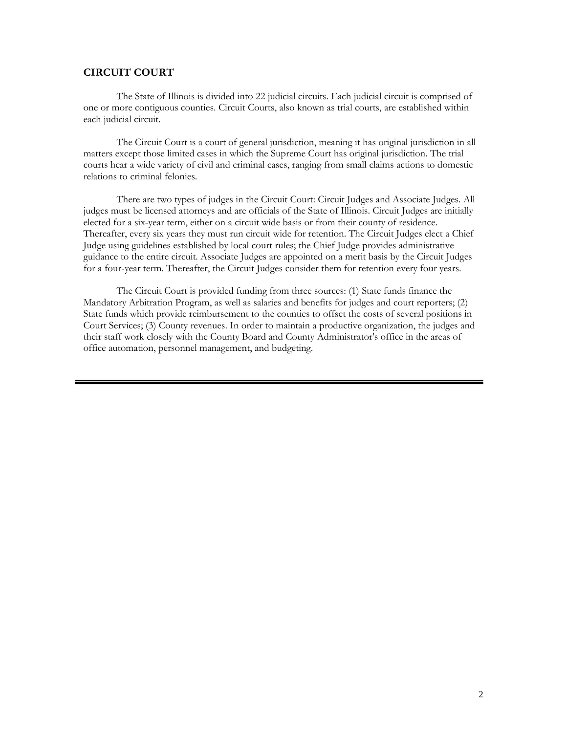# **CIRCUIT COURT**

The State of Illinois is divided into 22 judicial circuits. Each judicial circuit is comprised of one or more contiguous counties. Circuit Courts, also known as trial courts, are established within each judicial circuit.

The Circuit Court is a court of general jurisdiction, meaning it has original jurisdiction in all matters except those limited cases in which the Supreme Court has original jurisdiction. The trial courts hear a wide variety of civil and criminal cases, ranging from small claims actions to domestic relations to criminal felonies.

There are two types of judges in the Circuit Court: Circuit Judges and Associate Judges. All judges must be licensed attorneys and are officials of the State of Illinois. Circuit Judges are initially elected for a six-year term, either on a circuit wide basis or from their county of residence. Thereafter, every six years they must run circuit wide for retention. The Circuit Judges elect a Chief Judge using guidelines established by local court rules; the Chief Judge provides administrative guidance to the entire circuit. Associate Judges are appointed on a merit basis by the Circuit Judges for a four-year term. Thereafter, the Circuit Judges consider them for retention every four years.

The Circuit Court is provided funding from three sources: (1) State funds finance the Mandatory Arbitration Program, as well as salaries and benefits for judges and court reporters; (2) State funds which provide reimbursement to the counties to offset the costs of several positions in Court Services; (3) County revenues. In order to maintain a productive organization, the judges and their staff work closely with the County Board and County Administrator's office in the areas of office automation, personnel management, and budgeting.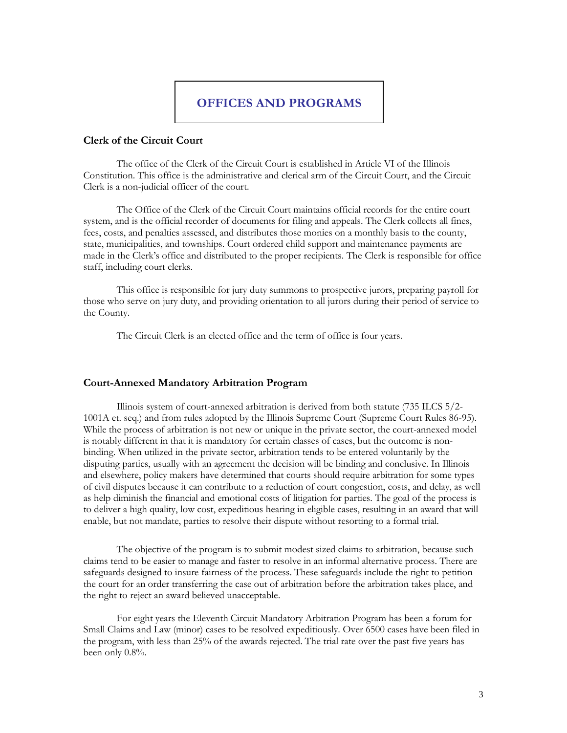# **OFFICES AND PROGRAMS**

## **Clerk of the Circuit Court**

The office of the Clerk of the Circuit Court is established in Article VI of the Illinois Constitution. This office is the administrative and clerical arm of the Circuit Court, and the Circuit Clerk is a non-judicial officer of the court.

The Office of the Clerk of the Circuit Court maintains official records for the entire court system, and is the official recorder of documents for filing and appeals. The Clerk collects all fines, fees, costs, and penalties assessed, and distributes those monies on a monthly basis to the county, state, municipalities, and townships. Court ordered child support and maintenance payments are made in the Clerk's office and distributed to the proper recipients. The Clerk is responsible for office staff, including court clerks.

This office is responsible for jury duty summons to prospective jurors, preparing payroll for those who serve on jury duty, and providing orientation to all jurors during their period of service to the County.

The Circuit Clerk is an elected office and the term of office is four years.

#### **Court-Annexed Mandatory Arbitration Program**

Illinois system of court-annexed arbitration is derived from both statute (735 ILCS 5/2- 1001A et. seq.) and from rules adopted by the Illinois Supreme Court (Supreme Court Rules 86-95). While the process of arbitration is not new or unique in the private sector, the court-annexed model is notably different in that it is mandatory for certain classes of cases, but the outcome is nonbinding. When utilized in the private sector, arbitration tends to be entered voluntarily by the disputing parties, usually with an agreement the decision will be binding and conclusive. In Illinois and elsewhere, policy makers have determined that courts should require arbitration for some types of civil disputes because it can contribute to a reduction of court congestion, costs, and delay, as well as help diminish the financial and emotional costs of litigation for parties. The goal of the process is to deliver a high quality, low cost, expeditious hearing in eligible cases, resulting in an award that will enable, but not mandate, parties to resolve their dispute without resorting to a formal trial.

The objective of the program is to submit modest sized claims to arbitration, because such claims tend to be easier to manage and faster to resolve in an informal alternative process. There are safeguards designed to insure fairness of the process. These safeguards include the right to petition the court for an order transferring the case out of arbitration before the arbitration takes place, and the right to reject an award believed unacceptable.

For eight years the Eleventh Circuit Mandatory Arbitration Program has been a forum for Small Claims and Law (minor) cases to be resolved expeditiously. Over 6500 cases have been filed in the program, with less than 25% of the awards rejected. The trial rate over the past five years has been only 0.8%.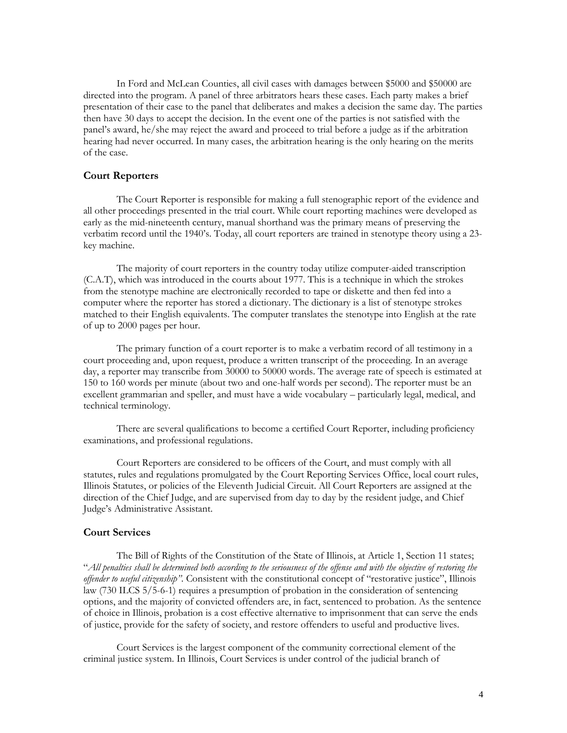In Ford and McLean Counties, all civil cases with damages between \$5000 and \$50000 are directed into the program. A panel of three arbitrators hears these cases. Each party makes a brief presentation of their case to the panel that deliberates and makes a decision the same day. The parties then have 30 days to accept the decision. In the event one of the parties is not satisfied with the panel's award, he/she may reject the award and proceed to trial before a judge as if the arbitration hearing had never occurred. In many cases, the arbitration hearing is the only hearing on the merits of the case.

#### **Court Reporters**

The Court Reporter is responsible for making a full stenographic report of the evidence and all other proceedings presented in the trial court. While court reporting machines were developed as early as the mid-nineteenth century, manual shorthand was the primary means of preserving the verbatim record until the 1940's. Today, all court reporters are trained in stenotype theory using a 23 key machine.

The majority of court reporters in the country today utilize computer-aided transcription (C.A.T), which was introduced in the courts about 1977. This is a technique in which the strokes from the stenotype machine are electronically recorded to tape or diskette and then fed into a computer where the reporter has stored a dictionary. The dictionary is a list of stenotype strokes matched to their English equivalents. The computer translates the stenotype into English at the rate of up to 2000 pages per hour.

The primary function of a court reporter is to make a verbatim record of all testimony in a court proceeding and, upon request, produce a written transcript of the proceeding. In an average day, a reporter may transcribe from 30000 to 50000 words. The average rate of speech is estimated at 150 to 160 words per minute (about two and one-half words per second). The reporter must be an excellent grammarian and speller, and must have a wide vocabulary – particularly legal, medical, and technical terminology.

There are several qualifications to become a certified Court Reporter, including proficiency examinations, and professional regulations.

Court Reporters are considered to be officers of the Court, and must comply with all statutes, rules and regulations promulgated by the Court Reporting Services Office, local court rules, Illinois Statutes, or policies of the Eleventh Judicial Circuit. All Court Reporters are assigned at the direction of the Chief Judge, and are supervised from day to day by the resident judge, and Chief Judge's Administrative Assistant.

#### **Court Services**

The Bill of Rights of the Constitution of the State of Illinois, at Article 1, Section 11 states; "*All penalties shall be determined both according to the seriousness of the offense and with the objective of restoring the offender to useful citizenship"*. Consistent with the constitutional concept of "restorative justice", Illinois law (730 ILCS 5/5-6-1) requires a presumption of probation in the consideration of sentencing options, and the majority of convicted offenders are, in fact, sentenced to probation. As the sentence of choice in Illinois, probation is a cost effective alternative to imprisonment that can serve the ends of justice, provide for the safety of society, and restore offenders to useful and productive lives.

Court Services is the largest component of the community correctional element of the criminal justice system. In Illinois, Court Services is under control of the judicial branch of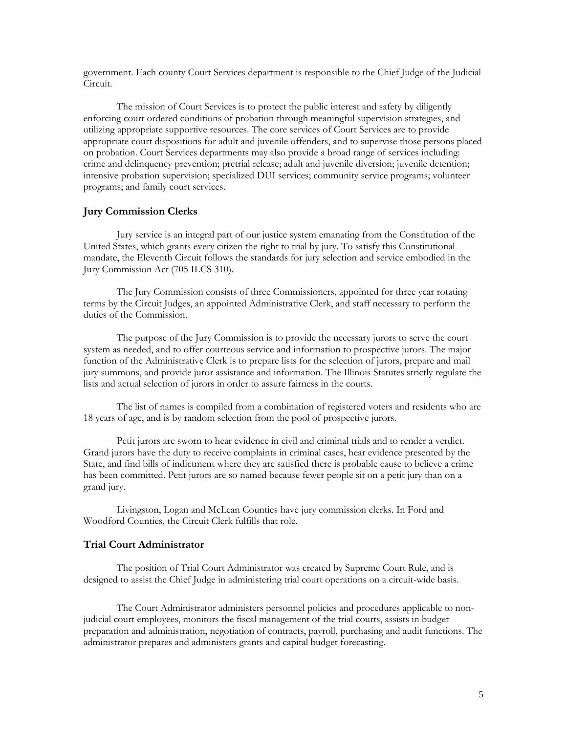government. Each county Court Services department is responsible to the Chief Judge of the Judicial Circuit.

The mission of Court Services is to protect the public interest and safety by diligently enforcing court ordered conditions of probation through meaningful supervision strategies, and utilizing appropriate supportive resources. The core services of Court Services are to provide appropriate court dispositions for adult and juvenile offenders, and to supervise those persons placed on probation. Court Services departments may also provide a broad range of services including: crime and delinquency prevention; pretrial release; adult and juvenile diversion; juvenile detention; intensive probation supervision; specialized DUI services; community service programs; volunteer programs; and family court services.

#### **Jury Commission Clerks**

Jury service is an integral part of our justice system emanating from the Constitution of the United States, which grants every citizen the right to trial by jury. To satisfy this Constitutional mandate, the Eleventh Circuit follows the standards for jury selection and service embodied in the Jury Commission Act (705 ILCS 310).

The Jury Commission consists of three Commissioners, appointed for three year rotating terms by the Circuit Judges, an appointed Administrative Clerk, and staff necessary to perform the duties of the Commission.

The purpose of the Jury Commission is to provide the necessary jurors to serve the court system as needed, and to offer courteous service and information to prospective jurors. The major function of the Administrative Clerk is to prepare lists for the selection of jurors, prepare and mail jury summons, and provide juror assistance and information. The Illinois Statutes strictly regulate the lists and actual selection of jurors in order to assure fairness in the courts.

The list of names is compiled from a combination of registered voters and residents who are 18 years of age, and is by random selection from the pool of prospective jurors.

Petit jurors are sworn to hear evidence in civil and criminal trials and to render a verdict. Grand jurors have the duty to receive complaints in criminal cases, hear evidence presented by the State, and find bills of indictment where they are satisfied there is probable cause to believe a crime has been committed. Petit jurors are so named because fewer people sit on a petit jury than on a grand jury.

Livingston, Logan and McLean Counties have jury commission clerks. In Ford and Woodford Counties, the Circuit Clerk fulfills that role.

# **Trial Court Administrator**

The position of Trial Court Administrator was created by Supreme Court Rule, and is designed to assist the Chief Judge in administering trial court operations on a circuit-wide basis.

The Court Administrator administers personnel policies and procedures applicable to nonjudicial court employees, monitors the fiscal management of the trial courts, assists in budget preparation and administration, negotiation of contracts, payroll, purchasing and audit functions. The administrator prepares and administers grants and capital budget forecasting.